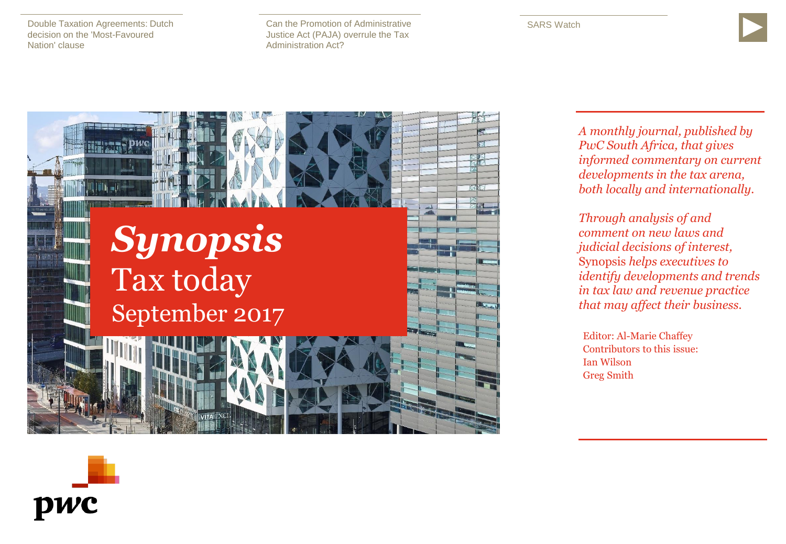[Double Taxation Agreements: Dutch](#page-1-0)  decision on the 'Most-Favoured Nation' clause

[Can the Promotion of Administrative](#page-5-0)  Justice Act (PAJA) overrule the Tax Administration Act?





*A monthly journal, published by PwC South Africa, that gives informed commentary on current developments in the tax arena, both locally and internationally.* 

*Through analysis of and comment on new laws and judicial decisions of interest,*  Synopsis *helps executives to identify developments and trends in tax law and revenue practice that may affect their business.*

Editor: Al-Marie Chaffey Contributors to this issue: Ian Wilson Greg Smith

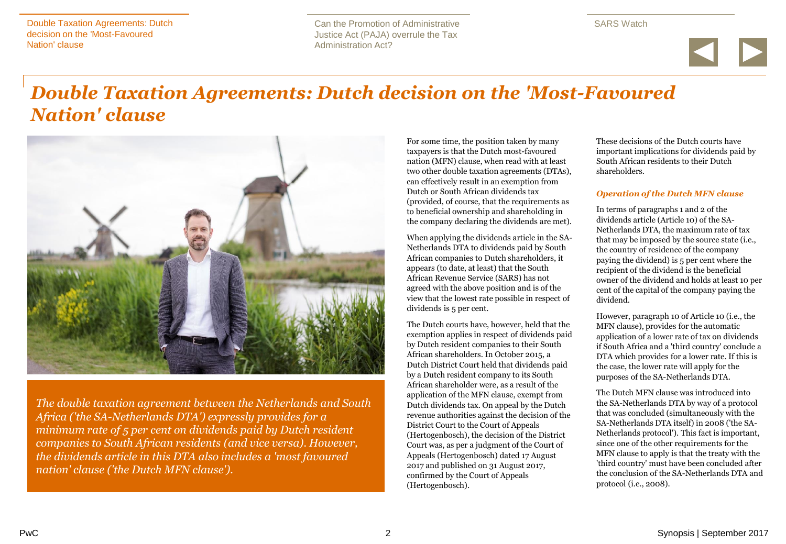Can the Promotion of Administrative Justice Act (PAJA) overrule the Tax Administration Act?

SARS Watch



# <span id="page-1-0"></span>*Double Taxation Agreements: Dutch decision on the 'Most-Favoured Nation' clause*



*The double taxation agreement between the Netherlands and South Africa ('the SA-Netherlands DTA') expressly provides for a minimum rate of 5 per cent on dividends paid by Dutch resident companies to South African residents (and vice versa). However, the dividends article in this DTA also includes a 'most favoured nation' clause ('the Dutch MFN clause').* 

For some time, the position taken by many taxpayers is that the Dutch most-favoured nation (MFN) clause, when read with at least two other double taxation agreements (DTAs), can effectively result in an exemption from Dutch or South African dividends tax (provided, of course, that the requirements as to beneficial ownership and shareholding in the company declaring the dividends are met).

When applying the dividends article in the SA-Netherlands DTA to dividends paid by South African companies to Dutch shareholders, it appears (to date, at least) that the South African Revenue Service (SARS) has not agreed with the above position and is of the view that the lowest rate possible in respect of dividends is 5 per cent.

The Dutch courts have, however, held that the exemption applies in respect of dividends paid by Dutch resident companies to their South African shareholders. In October 2015, a Dutch District Court held that dividends paid by a Dutch resident company to its South African shareholder were, as a result of the application of the MFN clause, exempt from Dutch dividends tax. On appeal by the Dutch revenue authorities against the decision of the District Court to the Court of Appeals (Hertogenbosch), the decision of the District Court was, as per a judgment of the Court of Appeals (Hertogenbosch) dated 17 August 2017 and published on 31 August 2017, confirmed by the Court of Appeals (Hertogenbosch).

These decisions of the Dutch courts have important implications for dividends paid by South African residents to their Dutch shareholders.

#### *Operation of the Dutch MFN clause*

In terms of paragraphs 1 and 2 of the dividends article (Article 10) of the SA-Netherlands DTA, the maximum rate of tax that may be imposed by the source state (i.e., the country of residence of the company paying the dividend) is 5 per cent where the recipient of the dividend is the beneficial owner of the dividend and holds at least 10 per cent of the capital of the company paying the dividend.

However, paragraph 10 of Article 10 (i.e., the MFN clause), provides for the automatic application of a lower rate of tax on dividends if South Africa and a 'third country' conclude a DTA which provides for a lower rate. If this is the case, the lower rate will apply for the purposes of the SA-Netherlands DTA.

The Dutch MFN clause was introduced into the SA-Netherlands DTA by way of a protocol that was concluded (simultaneously with the SA-Netherlands DTA itself) in 2008 ('the SA-Netherlands protocol'). This fact is important, since one of the other requirements for the MFN clause to apply is that the treaty with the 'third country' must have been concluded after the conclusion of the SA-Netherlands DTA and protocol (i.e., 2008).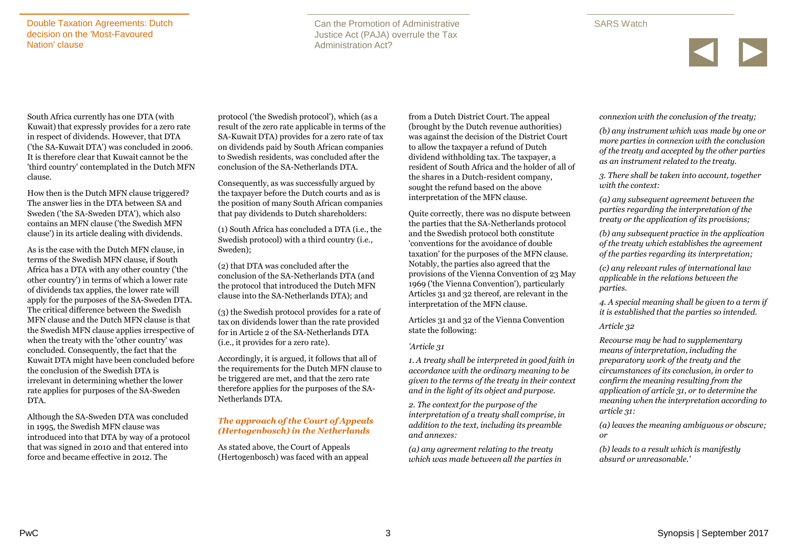Can the Promotion of Administrative Justice Act (PAJA) overrule the Tax Administration Act?

### SARS Watch



South Africa currently has one DTA (with Kuwait) that expressly provides for a zero rate in respect of dividends. However, that DTA ('the SA-Kuwait DTA') was concluded in 2006. It is therefore clear that Kuwait cannot be the 'third country' contemplated in the Dutch MFN clause.

How then is the Dutch MFN clause triggered? The answer lies in the DTA between SA and Sweden ('the SA-Sweden DTA'), which also contains an MFN clause ('the Swedish MFN clause') in its article dealing with dividends.

As is the case with the Dutch MFN clause, in terms of the Swedish MFN clause, if South Africa has a DTA with any other country ('the other country') in terms of which a lower rate of dividends tax applies, the lower rate will apply for the purposes of the SA-Sweden DTA. The critical difference between the Swedish MFN clause and the Dutch MFN clause is that the Swedish MFN clause applies irrespective of when the treaty with the 'other country' was concluded. Consequently, the fact that the Kuwait DTA might have been concluded before the conclusion of the Swedish DTA is irrelevant in determining whether the lower rate applies for purposes of the SA-Sweden DTA.

Although the SA-Sweden DTA was concluded in 1995, the Swedish MFN clause was introduced into that DTA by way of a protocol that was signed in 2010 and that entered into force and became effective in 2012. The

protocol ('the Swedish protocol'), which (as a result of the zero rate applicable in terms of the SA-Kuwait DTA) provides for a zero rate of tax on dividends paid by South African companies to Swedish residents, was concluded after the conclusion of the SA-Netherlands DTA.

Consequently, as was successfully argued by the taxpayer before the Dutch courts and as is the position of many South African companies that pay dividends to Dutch shareholders:

(1) South Africa has concluded a DTA (i.e., the Swedish protocol) with a third country (i.e., Sweden);

(2) that DTA was concluded after the conclusion of the SA-Netherlands DTA (and the protocol that introduced the Dutch MFN clause into the SA-Netherlands DTA); and

(3) the Swedish protocol provides for a rate of tax on dividends lower than the rate provided for in Article 2 of the SA-Netherlands DTA (i.e., it provides for a zero rate).

Accordingly, it is argued, it follows that all of the requirements for the Dutch MFN clause to be triggered are met, and that the zero rate therefore applies for the purposes of the SA-Netherlands DTA.

### *The approach of the Court of Appeals (Hertogenbosch) in the Netherlands*

As stated above, the Court of Appeals (Hertogenbosch) was faced with an appeal from a Dutch District Court. The appeal (brought by the Dutch revenue authorities) was against the decision of the District Court to allow the taxpayer a refund of Dutch dividend withholding tax. The taxpayer, a resident of South Africa and the holder of all of the shares in a Dutch-resident company, sought the refund based on the above interpretation of the MFN clause.

Quite correctly, there was no dispute between the parties that the SA-Netherlands protocol and the Swedish protocol both constitute 'conventions for the avoidance of double taxation' for the purposes of the MFN clause. Notably, the parties also agreed that the provisions of the Vienna Convention of 23 May 1969 ('the Vienna Convention'), particularly Articles 31 and 32 thereof, are relevant in the interpretation of the MFN clause.

Articles 31 and 32 of the Vienna Convention state the following:

#### *'Article 31*

*1. A treaty shall be interpreted in good faith in accordance with the ordinary meaning to be given to the terms of the treaty in their context and in the light of its object and purpose.*

*2. The context for the purpose of the interpretation of a treaty shall comprise, in addition to the text, including its preamble and annexes:*

*(a) any agreement relating to the treaty which was made between all the parties in*  *connexion with the conclusion of the treaty;*

*(b) any instrument which was made by one or more parties in connexion with the conclusion of the treaty and accepted by the other parties as an instrument related to the treaty.*

*3. There shall be taken into account, together with the context:*

*(a) any subsequent agreement between the parties regarding the interpretation of the treaty or the application of its provisions;*

*(b) any subsequent practice in the application of the treaty which establishes the agreement of the parties regarding its interpretation;*

*(c) any relevant rules of international law applicable in the relations between the parties.*

*4. A special meaning shall be given to a term if it is established that the parties so intended.*

### *Article 32*

*Recourse may be had to supplementary means of interpretation, including the preparatory work of the treaty and the circumstances of its conclusion, in order to confirm the meaning resulting from the application of article 31, or to determine the meaning when the interpretation according to article 31:*

*(a) leaves the meaning ambiguous or obscure; or*

*(b) leads to a result which is manifestly absurd or unreasonable.'*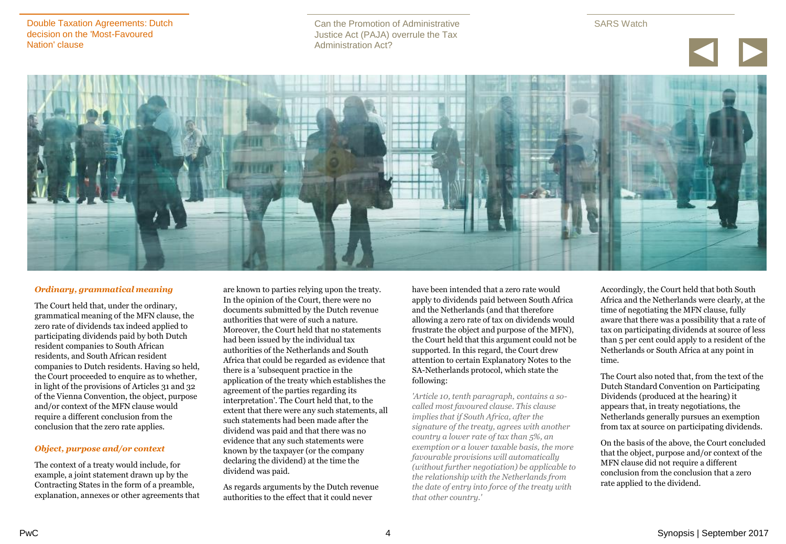Can the Promotion of Administrative Justice Act (PAJA) overrule the Tax Administration Act?





#### *Ordinary, grammatical meaning*

The Court held that, under the ordinary, grammatical meaning of the MFN clause, the zero rate of dividends tax indeed applied to participating dividends paid by both Dutch resident companies to South African residents, and South African resident companies to Dutch residents. Having so held, the Court proceeded to enquire as to whether, in light of the provisions of Articles 31 and 32 of the Vienna Convention, the object, purpose and/or context of the MFN clause would require a different conclusion from the conclusion that the zero rate applies.

#### *Object, purpose and/or context*

The context of a treaty would include, for example, a joint statement drawn up by the Contracting States in the form of a preamble, explanation, annexes or other agreements that

are known to parties relying upon the treaty. In the opinion of the Court, there were no documents submitted by the Dutch revenue authorities that were of such a nature. Moreover, the Court held that no statements had been issued by the individual tax authorities of the Netherlands and South Africa that could be regarded as evidence that there is a 'subsequent practice in the application of the treaty which establishes the agreement of the parties regarding its interpretation'. The Court held that, to the extent that there were any such statements, all such statements had been made after the dividend was paid and that there was no evidence that any such statements were known by the taxpayer (or the company declaring the dividend) at the time the dividend was paid.

As regards arguments by the Dutch revenue authorities to the effect that it could never

have been intended that a zero rate would apply to dividends paid between South Africa and the Netherlands (and that therefore allowing a zero rate of tax on dividends would frustrate the object and purpose of the MFN), the Court held that this argument could not be supported. In this regard, the Court drew attention to certain Explanatory Notes to the SA-Netherlands protocol, which state the following:

*'Article 10, tenth paragraph, contains a socalled most favoured clause. This clause implies that if South Africa, after the signature of the treaty, agrees with another country a lower rate of tax than 5%, an exemption or a lower taxable basis, the more favourable provisions will automatically (without further negotiation) be applicable to the relationship with the Netherlands from the date of entry into force of the treaty with that other country.'*

Accordingly, the Court held that both South Africa and the Netherlands were clearly, at the time of negotiating the MFN clause, fully aware that there was a possibility that a rate of tax on participating dividends at source of less than 5 per cent could apply to a resident of the Netherlands or South Africa at any point in time.

The Court also noted that, from the text of the Dutch Standard Convention on Participating Dividends (produced at the hearing) it appears that, in treaty negotiations, the Netherlands generally pursues an exemption from tax at source on participating dividends.

On the basis of the above, the Court concluded that the object, purpose and/or context of the MFN clause did not require a different conclusion from the conclusion that a zero rate applied to the dividend.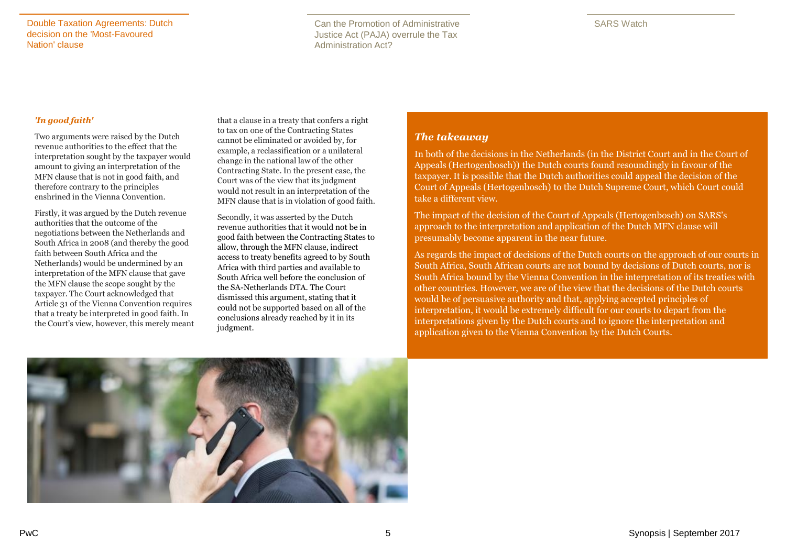Can the Promotion of Administrative Justice Act (PAJA) overrule the Tax Administration Act?

#### *'In good faith'*

Two arguments were raised by the Dutch revenue authorities to the effect that the interpretation sought by the taxpayer would amount to giving an interpretation of the MFN clause that is not in good faith, and therefore contrary to the principles enshrined in the Vienna Convention.

Firstly, it was argued by the Dutch revenue authorities that the outcome of the negotiations between the Netherlands and South Africa in 2008 (and thereby the good faith between South Africa and the Netherlands) would be undermined by an interpretation of the MFN clause that gave the MFN clause the scope sought by the taxpayer. The Court acknowledged that Article 31 of the Vienna Convention requires that a treaty be interpreted in good faith. In the Court's view, however, this merely meant that a clause in a treaty that confers a right to tax on one of the Contracting States cannot be eliminated or avoided by, for example, a reclassification or a unilateral change in the national law of the other Contracting State. In the present case, the Court was of the view that its judgment would not result in an interpretation of the MFN clause that is in violation of good faith.

Secondly, it was asserted by the Dutch revenue authorities that it would not be in good faith between the Contracting States to allow, through the MFN clause, indirect access to treaty benefits agreed to by South Africa with third parties and available to South Africa well before the conclusion of the SA-Netherlands DTA. The Court dismissed this argument, stating that it could not be supported based on all of the conclusions already reached by it in its judgment.

## *The takeaway*

In both of the decisions in the Netherlands (in the District Court and in the Court of Appeals (Hertogenbosch)) the Dutch courts found resoundingly in favour of the taxpayer. It is possible that the Dutch authorities could appeal the decision of the Court of Appeals (Hertogenbosch) to the Dutch Supreme Court, which Court could take a different view.

The impact of the decision of the Court of Appeals (Hertogenbosch) on SARS's approach to the interpretation and application of the Dutch MFN clause will presumably become apparent in the near future.

As regards the impact of decisions of the Dutch courts on the approach of our courts in South Africa, South African courts are not bound by decisions of Dutch courts, nor is South Africa bound by the Vienna Convention in the interpretation of its treaties with other countries. However, we are of the view that the decisions of the Dutch courts would be of persuasive authority and that, applying accepted principles of interpretation, it would be extremely difficult for our courts to depart from the interpretations given by the Dutch courts and to ignore the interpretation and application given to the Vienna Convention by the Dutch Courts.

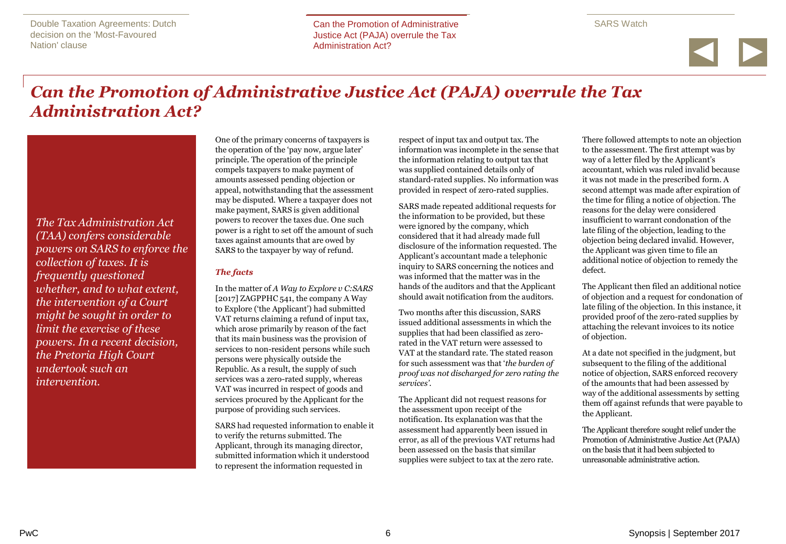<span id="page-5-0"></span>Double Taxation Agreements: Dutch decision on the 'Most-Favoured Nation' clause

Can the Promotion of Administrative Can the Promotion of Administrative Justice Act (PAJA) overrule the Tax Justice Act (PAJA) overrule the Tax Administration Act? Administration Act?

SARS Watch



# *Can the Promotion of Administrative Justice Act (PAJA) overrule the Tax Administration Act?*

*The Tax Administration Act (TAA) confers considerable powers on SARS to enforce the collection of taxes. It is frequently questioned whether, and to what extent, the intervention of a Court might be sought in order to limit the exercise of these powers. In a recent decision, the Pretoria High Court undertook such an intervention.*

One of the primary concerns of taxpayers is the operation of the 'pay now, argue later' principle. The operation of the principle compels taxpayers to make payment of amounts assessed pending objection or appeal, notwithstanding that the assessment may be disputed. Where a taxpayer does not make payment, SARS is given additional powers to recover the taxes due. One such power is a right to set off the amount of such taxes against amounts that are owed by SARS to the taxpayer by way of refund.

## *The facts*

In the matter of *A Way to Explore v C:SARS* [2017] ZAGPPHC 541, the company A Way to Explore ('the Applicant') had submitted VAT returns claiming a refund of input tax, which arose primarily by reason of the fact that its main business was the provision of services to non-resident persons while such persons were physically outside the Republic. As a result, the supply of such services was a zero-rated supply, whereas VAT was incurred in respect of goods and services procured by the Applicant for the purpose of providing such services.

SARS had requested information to enable it to verify the returns submitted. The Applicant, through its managing director, submitted information which it understood to represent the information requested in

respect of input tax and output tax. The information was incomplete in the sense that the information relating to output tax that was supplied contained details only of standard-rated supplies. No information was provided in respect of zero-rated supplies.

SARS made repeated additional requests for the information to be provided, but these were ignored by the company, which considered that it had already made full disclosure of the information requested. The Applicant's accountant made a telephonic inquiry to SARS concerning the notices and was informed that the matter was in the hands of the auditors and that the Applicant should await notification from the auditors.

Two months after this discussion, SARS issued additional assessments in which the supplies that had been classified as zerorated in the VAT return were assessed to VAT at the standard rate. The stated reason for such assessment was that '*the burden of proof was not discharged for zero rating the services'.*

The Applicant did not request reasons for the assessment upon receipt of the notification. Its explanation was that the assessment had apparently been issued in error, as all of the previous VAT returns had been assessed on the basis that similar supplies were subject to tax at the zero rate.

There followed attempts to note an objection to the assessment. The first attempt was by way of a letter filed by the Applicant's accountant, which was ruled invalid because it was not made in the prescribed form. A second attempt was made after expiration of the time for filing a notice of objection. The reasons for the delay were considered insufficient to warrant condonation of the late filing of the objection, leading to the objection being declared invalid. However, the Applicant was given time to file an additional notice of objection to remedy the defect.

The Applicant then filed an additional notice of objection and a request for condonation of late filing of the objection. In this instance, it provided proof of the zero-rated supplies by attaching the relevant invoices to its notice of objection.

At a date not specified in the judgment, but subsequent to the filing of the additional notice of objection, SARS enforced recovery of the amounts that had been assessed by way of the additional assessments by setting them off against refunds that were payable to the Applicant.

The Applicant therefore sought relief under the Promotion of Administrative Justice Act (PAJA) on the basis that it had been subjected to unreasonable administrative action.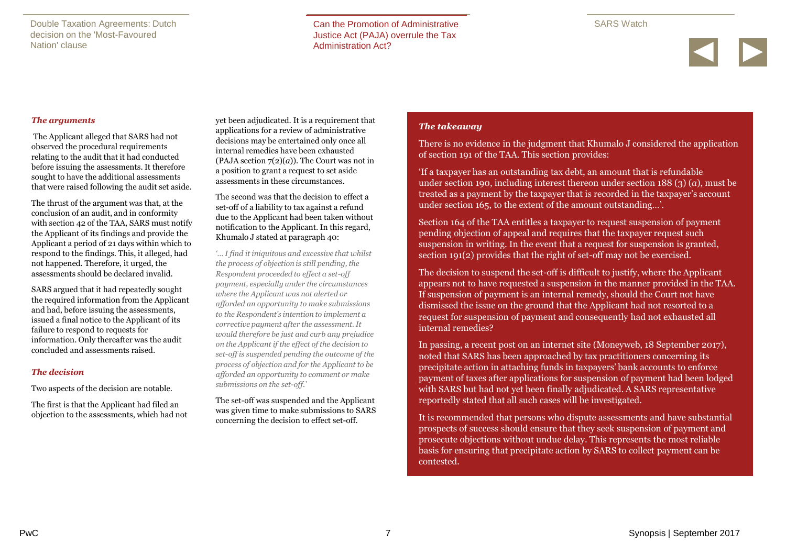Double Taxation Agreements: Dutch decision on the 'Most-Favoured Nation' clause

Can the Promotion of Administrative Can the Promotion of Administrative Justice Act (PAJA) overrule the Tax Justice Act (PAJA) overrule the Tax Administration Act? Administration Act?



#### *The arguments*

The Applicant alleged that SARS had not observed the procedural requirements relating to the audit that it had conducted before issuing the assessments. It therefore sought to have the additional assessments that were raised following the audit set aside.

The thrust of the argument was that, at the conclusion of an audit, and in conformity with section 42 of the TAA, SARS must notify the Applicant of its findings and provide the Applicant a period of 21 days within which to respond to the findings. This, it alleged, had not happened. Therefore, it urged, the assessments should be declared invalid.

SARS argued that it had repeatedly sought the required information from the Applicant and had, before issuing the assessments, issued a final notice to the Applicant of its failure to respond to requests for information. Only thereafter was the audit concluded and assessments raised.

#### *The decision*

Two aspects of the decision are notable.

The first is that the Applicant had filed an objection to the assessments, which had not yet been adjudicated. It is a requirement that applications for a review of administrative decisions may be entertained only once all internal remedies have been exhausted (PAJA section 7(2)(*a*)). The Court was not in a position to grant a request to set aside assessments in these circumstances.

The second was that the decision to effect a set-off of a liability to tax against a refund due to the Applicant had been taken without notification to the Applicant. In this regard, Khumalo J stated at paragraph 40:

*'… I find it iniquitous and excessive that whilst the process of objection is still pending, the Respondent proceeded to effect a set-off payment, especially under the circumstances where the Applicant was not alerted or afforded an opportunity to make submissions to the Respondent's intention to implement a corrective payment after the assessment. It would therefore be just and curb any prejudice on the Applicant if the effect of the decision to set-off is suspended pending the outcome of the process of objection and for the Applicant to be afforded an opportunity to comment or make submissions on the set-off.'* 

The set-off was suspended and the Applicant was given time to make submissions to SARS concerning the decision to effect set-off.

### *The takeaway*

There is no evidence in the judgment that Khumalo J considered the application of section 191 of the TAA. This section provides:

'If a taxpayer has an outstanding tax debt, an amount that is refundable under section 190, including interest thereon under section 188 (3) (*a*), must be treated as a payment by the taxpayer that is recorded in the taxpayer's account under section 165, to the extent of the amount outstanding…'.

Section 164 of the TAA entitles a taxpayer to request suspension of payment pending objection of appeal and requires that the taxpayer request such suspension in writing. In the event that a request for suspension is granted, section 191(2) provides that the right of set-off may not be exercised.

The decision to suspend the set-off is difficult to justify, where the Applicant appears not to have requested a suspension in the manner provided in the TAA. If suspension of payment is an internal remedy, should the Court not have dismissed the issue on the ground that the Applicant had not resorted to a request for suspension of payment and consequently had not exhausted all internal remedies?

In passing, a recent post on an internet site (Moneyweb, 18 September 2017), noted that SARS has been approached by tax practitioners concerning its precipitate action in attaching funds in taxpayers' bank accounts to enforce payment of taxes after applications for suspension of payment had been lodged with SARS but had not yet been finally adjudicated. A SARS representative reportedly stated that all such cases will be investigated.

It is recommended that persons who dispute assessments and have substantial prospects of success should ensure that they seek suspension of payment and prosecute objections without undue delay. This represents the most reliable basis for ensuring that precipitate action by SARS to collect payment can be contested.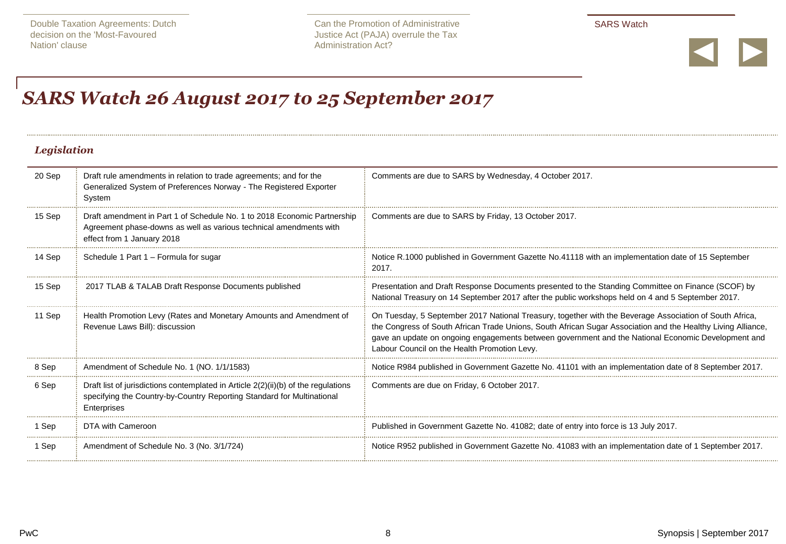

# <span id="page-7-0"></span>*SARS Watch 26 August 2017 to 25 September 2017*

# *Legislation*

| 20 Sep | Draft rule amendments in relation to trade agreements; and for the<br>Generalized System of Preferences Norway - The Registered Exporter<br>System                            | Comments are due to SARS by Wednesday, 4 October 2017.                                                                                                                                                                                                                                                                                                                       |
|--------|-------------------------------------------------------------------------------------------------------------------------------------------------------------------------------|------------------------------------------------------------------------------------------------------------------------------------------------------------------------------------------------------------------------------------------------------------------------------------------------------------------------------------------------------------------------------|
| 15 Sep | Draft amendment in Part 1 of Schedule No. 1 to 2018 Economic Partnership<br>Agreement phase-downs as well as various technical amendments with<br>effect from 1 January 2018  | Comments are due to SARS by Friday, 13 October 2017.                                                                                                                                                                                                                                                                                                                         |
| 14 Sep | Schedule 1 Part 1 - Formula for sugar                                                                                                                                         | Notice R.1000 published in Government Gazette No.41118 with an implementation date of 15 September<br>2017.                                                                                                                                                                                                                                                                  |
| 15 Sep | 2017 TLAB & TALAB Draft Response Documents published                                                                                                                          | Presentation and Draft Response Documents presented to the Standing Committee on Finance (SCOF) by<br>National Treasury on 14 September 2017 after the public workshops held on 4 and 5 September 2017                                                                                                                                                                       |
| 11 Sep | Health Promotion Levy (Rates and Monetary Amounts and Amendment of<br>Revenue Laws Bill): discussion                                                                          | On Tuesday, 5 September 2017 National Treasury, together with the Beverage Association of South Africa,<br>the Congress of South African Trade Unions, South African Sugar Association and the Healthy Living Alliance,<br>gave an update on ongoing engagements between government and the National Economic Development and<br>Labour Council on the Health Promotion Levy |
| 8 Sep  | Amendment of Schedule No. 1 (NO. 1/1/1583)                                                                                                                                    | Notice R984 published in Government Gazette No. 41101 with an implementation date of 8 September 2017                                                                                                                                                                                                                                                                        |
| 6 Sep  | Draft list of jurisdictions contemplated in Article $2(2)(ii)(b)$ of the regulations<br>specifying the Country-by-Country Reporting Standard for Multinational<br>Enterprises | Comments are due on Friday, 6 October 2017.                                                                                                                                                                                                                                                                                                                                  |
| 1 Sep  | DTA with Cameroon                                                                                                                                                             | Published in Government Gazette No. 41082: date of entry into force is 13 July 2017.                                                                                                                                                                                                                                                                                         |
| 1 Sep  | Amendment of Schedule No. 3 (No. 3/1/724)                                                                                                                                     | Notice R952 published in Government Gazette No. 41083 with an implementation date of 1 September 2017.                                                                                                                                                                                                                                                                       |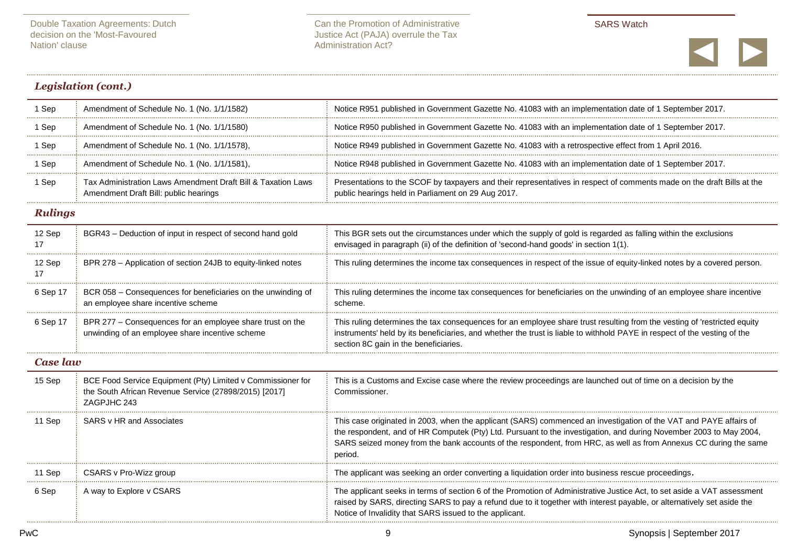

## *Legislation (cont.)*

| 1 Sep          | Amendment of Schedule No. 1 (No. 1/1/1582)                                                                                          | Notice R951 published in Government Gazette No. 41083 with an implementation date of 1 September 2017.                                                                                                                                                                                                                                                                 |
|----------------|-------------------------------------------------------------------------------------------------------------------------------------|------------------------------------------------------------------------------------------------------------------------------------------------------------------------------------------------------------------------------------------------------------------------------------------------------------------------------------------------------------------------|
| 1 Sep          | Amendment of Schedule No. 1 (No. 1/1/1580)                                                                                          | Notice R950 published in Government Gazette No. 41083 with an implementation date of 1 September 2017.                                                                                                                                                                                                                                                                 |
| 1 Sep          | Amendment of Schedule No. 1 (No. 1/1/1578),                                                                                         | Notice R949 published in Government Gazette No. 41083 with a retrospective effect from 1 April 2016.                                                                                                                                                                                                                                                                   |
| 1 Sep          | Amendment of Schedule No. 1 (No. 1/1/1581).                                                                                         | Notice R948 published in Government Gazette No. 41083 with an implementation date of 1 September 2017.                                                                                                                                                                                                                                                                 |
| 1 Sep          | Tax Administration Laws Amendment Draft Bill & Taxation Laws<br>Amendment Draft Bill: public hearings                               | Presentations to the SCOF by taxpayers and their representatives in respect of comments made on the draft Bills at the<br>public hearings held in Parliament on 29 Aug 2017.                                                                                                                                                                                           |
| <b>Rulings</b> |                                                                                                                                     |                                                                                                                                                                                                                                                                                                                                                                        |
| 12 Sep<br>17   | BGR43 - Deduction of input in respect of second hand gold                                                                           | This BGR sets out the circumstances under which the supply of gold is regarded as falling within the exclusions<br>envisaged in paragraph (ii) of the definition of 'second-hand goods' in section 1(1).                                                                                                                                                               |
| 12 Sep<br>17   | BPR 278 – Application of section 24JB to equity-linked notes                                                                        | This ruling determines the income tax consequences in respect of the issue of equity-linked notes by a covered person                                                                                                                                                                                                                                                  |
| 6 Sep 17       | BCR 058 - Consequences for beneficiaries on the unwinding of<br>an employee share incentive scheme                                  | This ruling determines the income tax consequences for beneficiaries on the unwinding of an employee share incentive<br>scheme.                                                                                                                                                                                                                                        |
| 6 Sep 17       | BPR 277 – Consequences for an employee share trust on the<br>unwinding of an employee share incentive scheme                        | This ruling determines the tax consequences for an employee share trust resulting from the vesting of 'restricted equity<br>instruments' held by its beneficiaries, and whether the trust is liable to withhold PAYE in respect of the vesting of the<br>section 8C gain in the beneficiaries.                                                                         |
| Case law       |                                                                                                                                     |                                                                                                                                                                                                                                                                                                                                                                        |
| 15 Sep         | BCE Food Service Equipment (Pty) Limited v Commissioner for<br>the South African Revenue Service (27898/2015) [2017]<br>ZAGPJHC 243 | This is a Customs and Excise case where the review proceedings are launched out of time on a decision by the<br>Commissioner.                                                                                                                                                                                                                                          |
| 11 Sep         | SARS v HR and Associates                                                                                                            | This case originated in 2003, when the applicant (SARS) commenced an investigation of the VAT and PAYE affairs of<br>the respondent, and of HR Computek (Pty) Ltd. Pursuant to the investigation, and during November 2003 to May 2004,<br>SARS seized money from the bank accounts of the respondent, from HRC, as well as from Annexus CC during the same<br>period. |
| 11 Sep         | CSARS v Pro-Wizz group                                                                                                              | The applicant was seeking an order converting a liquidation order into business rescue proceedings.                                                                                                                                                                                                                                                                    |
| 6 Sep          | A way to Explore v CSARS                                                                                                            | The applicant seeks in terms of section 6 of the Promotion of Administrative Justice Act, to set aside a VAT assessment<br>raised by SARS, directing SARS to pay a refund due to it together with interest payable, or alternatively set aside the<br>Notice of Invalidity that SARS issued to the applicant.                                                          |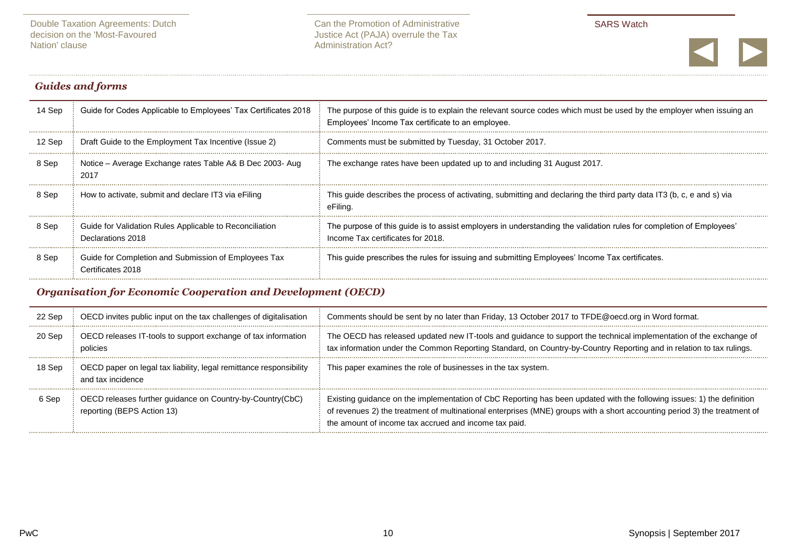

## *Guides and forms*

| 14 Sep | Guide for Codes Applicable to Employees' Tax Certificates 2018               | The purpose of this guide is to explain the relevant source codes which must be used by the employer when issuing an<br>Employees' Income Tax certificate to an employee. |
|--------|------------------------------------------------------------------------------|---------------------------------------------------------------------------------------------------------------------------------------------------------------------------|
| 12 Sep | Draft Guide to the Employment Tax Incentive (Issue 2)                        | Comments must be submitted by Tuesday, 31 October 2017.                                                                                                                   |
| 8 Sep  | Notice – Average Exchange rates Table A& B Dec 2003- Aug<br>2017             | The exchange rates have been updated up to and including 31 August 2017.                                                                                                  |
| 8 Sep  | How to activate, submit and declare IT3 via eFiling                          | This quide describes the process of activating, submitting and declaring the third party data IT3 (b, c, e and s) via<br>eFiling.                                         |
| 8 Sep  | Guide for Validation Rules Applicable to Reconciliation<br>Declarations 2018 | The purpose of this guide is to assist employers in understanding the validation rules for completion of Employees'<br>Income Tax certificates for 2018.                  |
| 8 Sep  | Guide for Completion and Submission of Employees Tax<br>Certificates 2018    | This guide prescribes the rules for issuing and submitting Employees' Income Tax certificates.                                                                            |

# *Organisation for Economic Cooperation and Development (OECD)*

| 22 Sep | OECD invites public input on the tax challenges of digitalisation                       | Comments should be sent by no later than Friday, 13 October 2017 to TFDE@oecd.org in Word format.                                                                                                                                                                                                            |
|--------|-----------------------------------------------------------------------------------------|--------------------------------------------------------------------------------------------------------------------------------------------------------------------------------------------------------------------------------------------------------------------------------------------------------------|
| 20 Sep | OECD releases IT-tools to support exchange of tax information<br>policies               | The OECD has released updated new IT-tools and guidance to support the technical implementation of the exchange of<br>tax information under the Common Reporting Standard, on Country-by-Country Reporting and in relation to tax rulings.                                                                   |
| 18 Sep | OECD paper on legal tax liability, legal remittance responsibility<br>and tax incidence | This paper examines the role of businesses in the tax system.                                                                                                                                                                                                                                                |
| 6 Sep  | OECD releases further guidance on Country-by-Country(CbC)<br>reporting (BEPS Action 13) | Existing guidance on the implementation of CbC Reporting has been updated with the following issues: 1) the definition<br>of revenues 2) the treatment of multinational enterprises (MNE) groups with a short accounting period 3) the treatment of<br>the amount of income tax accrued and income tax paid. |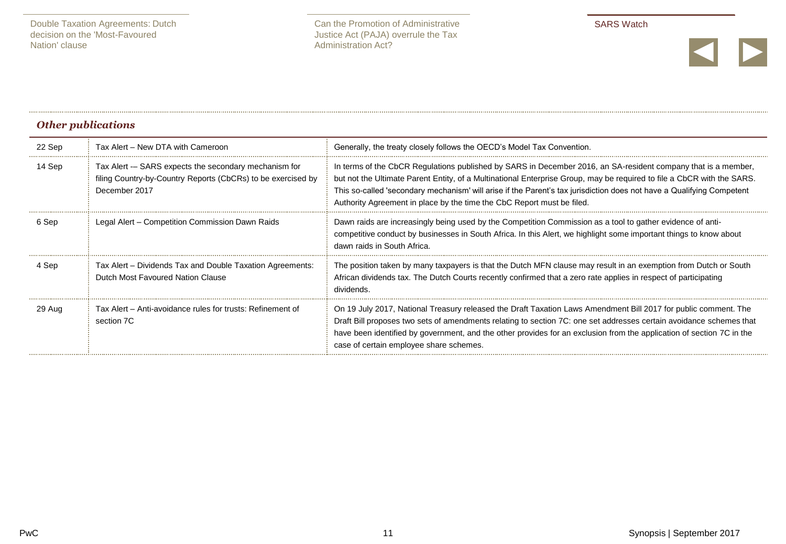

# *Other publications*

| 22 Sep | Tax Alert - New DTA with Cameroon                                                                                                     | Generally, the treaty closely follows the OECD's Model Tax Convention.                                                                                                                                                                                                                                                                                                                                                                     |
|--------|---------------------------------------------------------------------------------------------------------------------------------------|--------------------------------------------------------------------------------------------------------------------------------------------------------------------------------------------------------------------------------------------------------------------------------------------------------------------------------------------------------------------------------------------------------------------------------------------|
| 14 Sep | Tax Alert - SARS expects the secondary mechanism for<br>filing Country-by-Country Reports (CbCRs) to be exercised by<br>December 2017 | In terms of the CbCR Regulations published by SARS in December 2016, an SA-resident company that is a member,<br>but not the Ultimate Parent Entity, of a Multinational Enterprise Group, may be required to file a CbCR with the SARS.<br>This so-called 'secondary mechanism' will arise if the Parent's tax jurisdiction does not have a Qualifying Competent<br>Authority Agreement in place by the time the CbC Report must be filed. |
| 6 Sep  | Legal Alert – Competition Commission Dawn Raids                                                                                       | Dawn raids are increasingly being used by the Competition Commission as a tool to gather evidence of anti-<br>competitive conduct by businesses in South Africa. In this Alert, we highlight some important things to know about<br>dawn raids in South Africa.                                                                                                                                                                            |
| 4 Sep  | Tax Alert - Dividends Tax and Double Taxation Agreements:<br>Dutch Most Favoured Nation Clause                                        | The position taken by many taxpayers is that the Dutch MFN clause may result in an exemption from Dutch or South<br>African dividends tax. The Dutch Courts recently confirmed that a zero rate applies in respect of participating<br>dividends.                                                                                                                                                                                          |
| 29 Aug | Tax Alert – Anti-avoidance rules for trusts: Refinement of<br>section 7C                                                              | On 19 July 2017, National Treasury released the Draft Taxation Laws Amendment Bill 2017 for public comment. The<br>Draft Bill proposes two sets of amendments relating to section 7C: one set addresses certain avoidance schemes that<br>have been identified by government, and the other provides for an exclusion from the application of section 7C in the<br>case of certain employee share schemes.                                 |